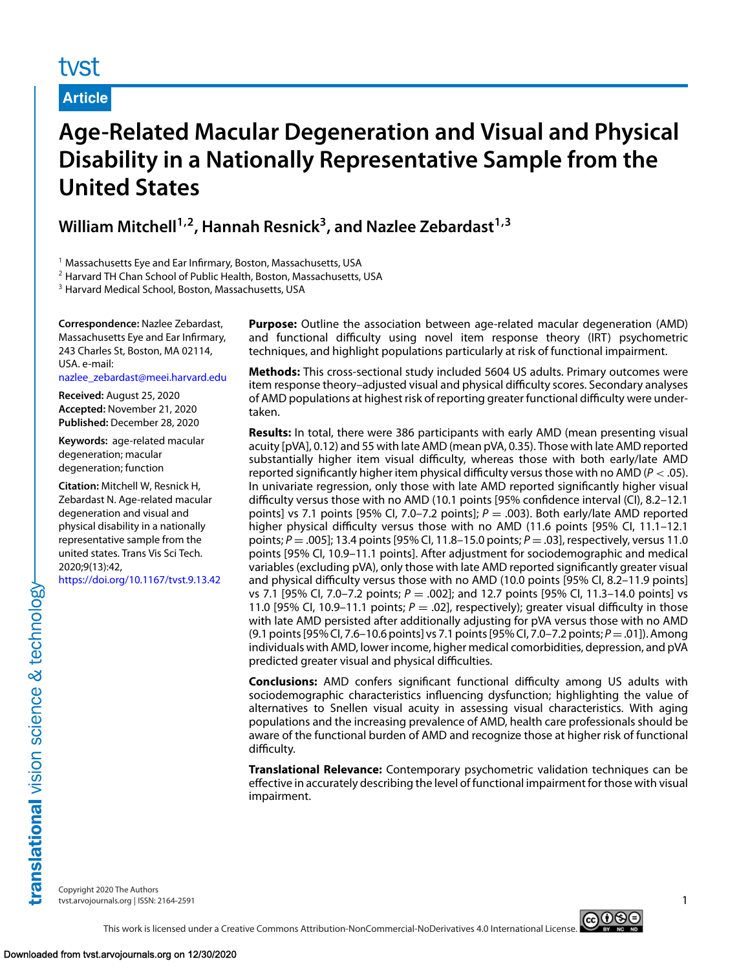# tyst

**Article**

# **Age-Related Macular Degeneration and Visual and Physical Disability in a Nationally Representative Sample from the United States**

William Mitchell<sup>1,2</sup>, Hannah Resnick<sup>3</sup>, and Nazlee Zebardast<sup>1,3</sup>

<sup>1</sup> Massachusetts Eye and Ear Infirmary, Boston, Massachusetts, USA

<sup>2</sup> Harvard TH Chan School of Public Health, Boston, Massachusetts, USA

<sup>3</sup> Harvard Medical School, Boston, Massachusetts, USA

**Correspondence:** Nazlee Zebardast, Massachusetts Eye and Ear Infirmary, 243 Charles St, Boston, MA 02114, USA. e-mail: [nazlee\\_zebardast@meei.harvard.edu](mailto:nazlee_zebardast@meei.harvard.edu)

**Received:** August 25, 2020 **Accepted:** November 21, 2020 **Published:** December 28, 2020

**Keywords:** age-related macular degeneration; macular degeneration; function

**Citation:** Mitchell W, Resnick H, Zebardast N. Age-related macular degeneration and visual and physical disability in a nationally representative sample from the united states. Trans Vis Sci Tech. 2020;9(13):42,

<https://doi.org/10.1167/tvst.9.13.42>

**Purpose:** Outline the association between age-related macular degeneration (AMD) and functional difficulty using novel item response theory (IRT) psychometric techniques, and highlight populations particularly at risk of functional impairment.

**Methods:** This cross-sectional study included 5604 US adults. Primary outcomes were item response theory–adjusted visual and physical difficulty scores. Secondary analyses of AMD populations at highest risk of reporting greater functional difficulty were undertaken.

**Results:** In total, there were 386 participants with early AMD (mean presenting visual acuity [pVA], 0.12) and 55 with late AMD (mean pVA, 0.35). Those with late AMD reported substantially higher item visual difficulty, whereas those with both early/late AMD reported significantly higher item physical difficulty versus those with no AMD ( $P <$  .05). In univariate regression, only those with late AMD reported significantly higher visual difficulty versus those with no AMD (10.1 points [95% confidence interval (CI), 8.2–12.1 points] vs 7.1 points [95% CI, 7.0–7.2 points]; *<sup>P</sup>* <sup>=</sup> .003). Both early/late AMD reported higher physical difficulty versus those with no AMD (11.6 points [95% CI, 11.1–12.1 points; *<sup>P</sup>* <sup>=</sup> .005]; 13.4 points [95% CI, 11.8–15.0 points; *<sup>P</sup>* <sup>=</sup> .03], respectively, versus 11.0 points [95% CI, 10.9–11.1 points]. After adjustment for sociodemographic and medical variables (excluding pVA), only those with late AMD reported significantly greater visual and physical difficulty versus those with no AMD (10.0 points [95% CI, 8.2–11.9 points] vs 7.1 [95% CI, 7.0–7.2 points; *<sup>P</sup>* <sup>=</sup> .002]; and 12.7 points [95% CI, 11.3–14.0 points] vs 11.0 [95% CI, 10.9–11.1 points;  $P = .02$ ], respectively); greater visual difficulty in those with late AMD persisted after additionally adjusting for pVA versus those with no AMD (9.1 points[95% CI, 7.6–10.6 points] vs 7.1 points[95% CI, 7.0–7.2 points; *<sup>P</sup>*=.01]). Among individuals with AMD, lower income, higher medical comorbidities, depression, and pVA predicted greater visual and physical difficulties.

**Conclusions:** AMD confers significant functional difficulty among US adults with sociodemographic characteristics influencing dysfunction; highlighting the value of alternatives to Snellen visual acuity in assessing visual characteristics. With aging populations and the increasing prevalence of AMD, health care professionals should be aware of the functional burden of AMD and recognize those at higher risk of functional difficulty.

**Translational Relevance:** Contemporary psychometric validation techniques can be effective in accurately describing the level of functional impairment for those with visual impairment.

Copyright 2020 The Authors tvst.arvojournals.org | ISSN: 2164-2591 1

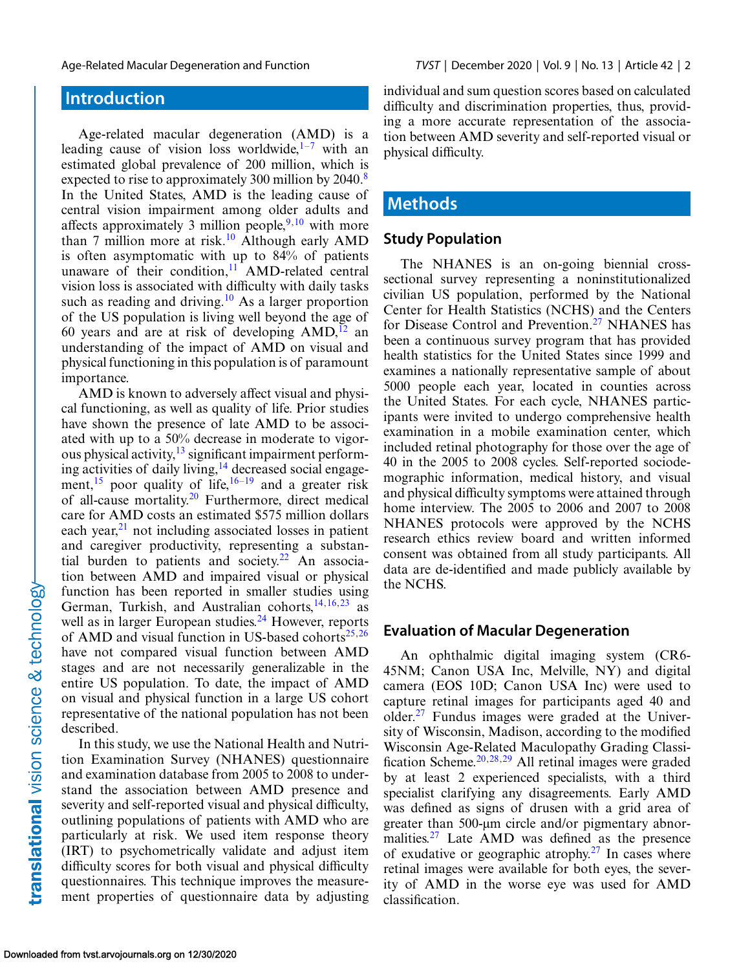## **Introduction**

Age-related macular degeneration (AMD) is a leading cause of vision loss worldwide, $1-\frac{7}{7}$  with an estimated global prevalence of 200 million, which is expected to rise to approximately 300 million by 2040.<sup>[8](#page-13-0)</sup> In the United States, AMD is the leading cause of central vision impairment among older adults and affects approximately 3 million people,  $9,10$  with more than 7 million more at risk.<sup>10</sup> Although early AMD is often asymptomatic with up to 84% of patients unaware of their condition, $11$  AMD-related central vision loss is associated with difficulty with daily tasks such as reading and driving.<sup>10</sup> As a larger proportion of the US population is living well beyond the age of 60 years and are at risk of developing  $AMD<sub>12</sub>$  $AMD<sub>12</sub>$  $AMD<sub>12</sub>$  and understanding of the impact of AMD on visual and physical functioning in this population is of paramount importance.

AMD is known to adversely affect visual and physical functioning, as well as quality of life. Prior studies have shown the presence of late AMD to be associated with up to a 50% decrease in moderate to vigorous physical activity,  $\frac{13}{3}$  $\frac{13}{3}$  $\frac{13}{3}$  significant impairment perform-ing activities of daily living,<sup>[14](#page-13-0)</sup> decreased social engagement,<sup>15</sup> poor quality of life,<sup>16–19</sup> and a greater risk of all-cause mortality.[20](#page-14-0) Furthermore, direct medical care for AMD costs an estimated \$575 million dollars each year, $21$  not including associated losses in patient and caregiver productivity, representing a substan-tial burden to patients and society.<sup>[22](#page-14-0)</sup> An association between AMD and impaired visual or physical function has been reported in smaller studies using German, Turkish, and Australian cohorts,  $14, 16, 23$  $14, 16, 23$  as well as in larger European studies. $^{24}$  $^{24}$  $^{24}$  However, reports of AMD and visual function in US-based cohorts<sup>[25,26](#page-14-0)</sup> have not compared visual function between AMD stages and are not necessarily generalizable in the entire US population. To date, the impact of AMD on visual and physical function in a large US cohort representative of the national population has not been described.

In this study, we use the National Health and Nutrition Examination Survey (NHANES) questionnaire and examination database from 2005 to 2008 to understand the association between AMD presence and severity and self-reported visual and physical difficulty, outlining populations of patients with AMD who are particularly at risk. We used item response theory (IRT) to psychometrically validate and adjust item difficulty scores for both visual and physical difficulty questionnaires. This technique improves the measurement properties of questionnaire data by adjusting individual and sum question scores based on calculated difficulty and discrimination properties, thus, providing a more accurate representation of the association between AMD severity and self-reported visual or physical difficulty.

## **Methods**

#### **Study Population**

The NHANES is an on-going biennial crosssectional survey representing a noninstitutionalized civilian US population, performed by the National Center for Health Statistics (NCHS) and the Centers for Disease Control and Prevention.<sup>27</sup> NHANES has been a continuous survey program that has provided health statistics for the United States since 1999 and examines a nationally representative sample of about 5000 people each year, located in counties across the United States. For each cycle, NHANES participants were invited to undergo comprehensive health examination in a mobile examination center, which included retinal photography for those over the age of 40 in the 2005 to 2008 cycles. Self-reported sociodemographic information, medical history, and visual and physical difficulty symptoms were attained through home interview. The 2005 to 2006 and 2007 to 2008 NHANES protocols were approved by the NCHS research ethics review board and written informed consent was obtained from all study participants. All data are de-identified and made publicly available by the NCHS.

#### **Evaluation of Macular Degeneration**

An ophthalmic digital imaging system (CR6- 45NM; Canon USA Inc, Melville, NY) and digital camera (EOS 10D; Canon USA Inc) were used to capture retinal images for participants aged 40 and older. $27$  Fundus images were graded at the University of Wisconsin, Madison, according to the modified Wisconsin Age-Related Maculopathy Grading Classi-fication Scheme.<sup>[20,28,29](#page-14-0)</sup> All retinal images were graded by at least 2 experienced specialists, with a third specialist clarifying any disagreements. Early AMD was defined as signs of drusen with a grid area of greater than 500-μm circle and/or pigmentary abnormalities.<sup>27</sup> Late AMD was defined as the presence of exudative or geographic atrophy.<sup>[27](#page-14-0)</sup> In cases where retinal images were available for both eyes, the severity of AMD in the worse eye was used for AMD classification.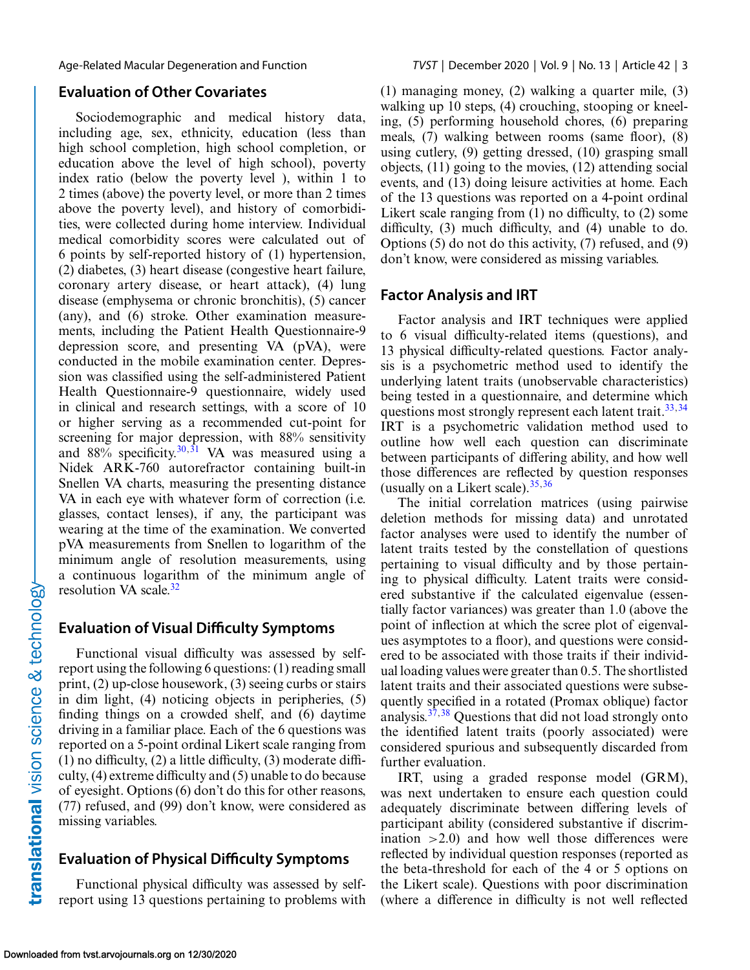#### **Evaluation of Other Covariates**

Sociodemographic and medical history data, including age, sex, ethnicity, education (less than high school completion, high school completion, or education above the level of high school), poverty index ratio (below the poverty level ), within 1 to 2 times (above) the poverty level, or more than 2 times above the poverty level), and history of comorbidities, were collected during home interview. Individual medical comorbidity scores were calculated out of 6 points by self-reported history of (1) hypertension, (2) diabetes, (3) heart disease (congestive heart failure, coronary artery disease, or heart attack), (4) lung disease (emphysema or chronic bronchitis), (5) cancer (any), and (6) stroke. Other examination measurements, including the Patient Health Questionnaire-9 depression score, and presenting VA (pVA), were conducted in the mobile examination center. Depression was classified using the self-administered Patient Health Questionnaire-9 questionnaire, widely used in clinical and research settings, with a score of 10 or higher serving as a recommended cut-point for screening for major depression, with 88% sensitivity and  $88\%$  specificity.<sup>[30,31](#page-14-0)</sup> VA was measured using a Nidek ARK-760 autorefractor containing built-in Snellen VA charts, measuring the presenting distance VA in each eye with whatever form of correction (i.e. glasses, contact lenses), if any, the participant was wearing at the time of the examination. We converted pVA measurements from Snellen to logarithm of the minimum angle of resolution measurements, using a continuous logarithm of the minimum angle of resolution VA scale. $32$ 

#### **Evaluation of Visual Difficulty Symptoms**

Functional visual difficulty was assessed by selfreport using the following 6 questions: (1) reading small print, (2) up-close housework, (3) seeing curbs or stairs in dim light, (4) noticing objects in peripheries, (5) finding things on a crowded shelf, and (6) daytime driving in a familiar place. Each of the 6 questions was reported on a 5-point ordinal Likert scale ranging from (1) no difficulty, (2) a little difficulty, (3) moderate difficulty, (4) extreme difficulty and (5) unable to do because of eyesight. Options (6) don't do this for other reasons, (77) refused, and (99) don't know, were considered as missing variables.

## **Evaluation of Physical Difficulty Symptoms**

Functional physical difficulty was assessed by selfreport using 13 questions pertaining to problems with (1) managing money, (2) walking a quarter mile, (3) walking up 10 steps, (4) crouching, stooping or kneeling, (5) performing household chores, (6) preparing meals, (7) walking between rooms (same floor), (8) using cutlery, (9) getting dressed, (10) grasping small objects, (11) going to the movies, (12) attending social events, and (13) doing leisure activities at home. Each of the 13 questions was reported on a 4-point ordinal Likert scale ranging from (1) no difficulty, to (2) some difficulty, (3) much difficulty, and (4) unable to do. Options (5) do not do this activity, (7) refused, and (9) don't know, were considered as missing variables.

#### **Factor Analysis and IRT**

Factor analysis and IRT techniques were applied to 6 visual difficulty-related items (questions), and 13 physical difficulty-related questions. Factor analysis is a psychometric method used to identify the underlying latent traits (unobservable characteristics) being tested in a questionnaire, and determine which questions most strongly represent each latent trait.<sup>33,34</sup> IRT is a psychometric validation method used to outline how well each question can discriminate between participants of differing ability, and how well those differences are reflected by question responses (usually on a Likert scale).  $35,36$ 

The initial correlation matrices (using pairwise deletion methods for missing data) and unrotated factor analyses were used to identify the number of latent traits tested by the constellation of questions pertaining to visual difficulty and by those pertaining to physical difficulty. Latent traits were considered substantive if the calculated eigenvalue (essentially factor variances) was greater than 1.0 (above the point of inflection at which the scree plot of eigenvalues asymptotes to a floor), and questions were considered to be associated with those traits if their individual loading values were greater than 0.5. The shortlisted latent traits and their associated questions were subsequently specified in a rotated (Promax oblique) factor analysis[.37,38](#page-14-0) Questions that did not load strongly onto the identified latent traits (poorly associated) were considered spurious and subsequently discarded from further evaluation.

IRT, using a graded response model (GRM), was next undertaken to ensure each question could adequately discriminate between differing levels of participant ability (considered substantive if discrimination  $>2.0$  and how well those differences were reflected by individual question responses (reported as the beta-threshold for each of the 4 or 5 options on the Likert scale). Questions with poor discrimination (where a difference in difficulty is not well reflected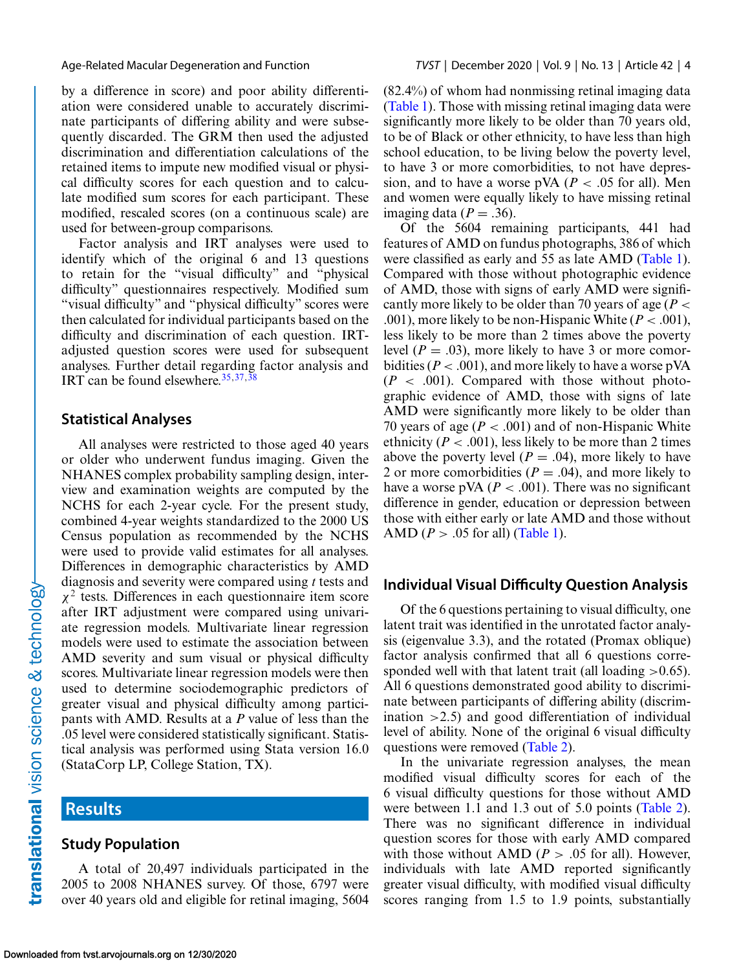by a difference in score) and poor ability differentiation were considered unable to accurately discriminate participants of differing ability and were subsequently discarded. The GRM then used the adjusted discrimination and differentiation calculations of the retained items to impute new modified visual or physical difficulty scores for each question and to calculate modified sum scores for each participant. These modified, rescaled scores (on a continuous scale) are used for between-group comparisons.

Factor analysis and IRT analyses were used to identify which of the original 6 and 13 questions to retain for the "visual difficulty" and "physical difficulty" questionnaires respectively. Modified sum "visual difficulty" and "physical difficulty" scores were then calculated for individual participants based on the difficulty and discrimination of each question. IRTadjusted question scores were used for subsequent analyses. Further detail regarding factor analysis and IRT can be found elsewhere.  $35,37,38$ 

#### **Statistical Analyses**

All analyses were restricted to those aged 40 years or older who underwent fundus imaging. Given the NHANES complex probability sampling design, interview and examination weights are computed by the NCHS for each 2-year cycle. For the present study, combined 4-year weights standardized to the 2000 US Census population as recommended by the NCHS were used to provide valid estimates for all analyses. Differences in demographic characteristics by AMD diagnosis and severity were compared using *t* tests and  $\chi^2$  tests. Differences in each questionnaire item score after IRT adjustment were compared using univariate regression models. Multivariate linear regression models were used to estimate the association between AMD severity and sum visual or physical difficulty scores. Multivariate linear regression models were then used to determine sociodemographic predictors of greater visual and physical difficulty among participants with AMD. Results at a *P* value of less than the .05 level were considered statistically significant. Statistical analysis was performed using Stata version 16.0 (StataCorp LP, College Station, TX).

## **Results**

#### **Study Population**

A total of 20,497 individuals participated in the 2005 to 2008 NHANES survey. Of those, 6797 were over 40 years old and eligible for retinal imaging, 5604

(82.4%) of whom had nonmissing retinal imaging data [\(Table 1\)](#page-4-0). Those with missing retinal imaging data were significantly more likely to be older than 70 years old, to be of Black or other ethnicity, to have less than high school education, to be living below the poverty level, to have 3 or more comorbidities, to not have depression, and to have a worse pVA ( $P < .05$  for all). Men and women were equally likely to have missing retinal imaging data  $(P=.36)$ .

Of the 5604 remaining participants, 441 had features of AMD on fundus photographs, 386 of which were classified as early and 55 as late AMD [\(Table 1\)](#page-4-0). Compared with those without photographic evidence of AMD, those with signs of early AMD were significantly more likely to be older than 70 years of age (*P* < .001), more likely to be non-Hispanic White  $(P < .001)$ , less likely to be more than 2 times above the poverty level  $(P = .03)$ , more likely to have 3 or more comorbidities ( $P < .001$ ), and more likely to have a worse pVA  $(P < .001)$ . Compared with those without photographic evidence of AMD, those with signs of late AMD were significantly more likely to be older than 70 years of age  $(P < .001)$  and of non-Hispanic White ethnicity ( $P < .001$ ), less likely to be more than 2 times above the poverty level ( $P = .04$ ), more likely to have 2 or more comorbidities ( $P = .04$ ), and more likely to have a worse pVA ( $P < .001$ ). There was no significant difference in gender, education or depression between those with either early or late AMD and those without AMD ( $P > .05$  for all) [\(Table 1\)](#page-4-0).

#### **Individual Visual Difficulty Question Analysis**

Of the 6 questions pertaining to visual difficulty, one latent trait was identified in the unrotated factor analysis (eigenvalue 3.3), and the rotated (Promax oblique) factor analysis confirmed that all 6 questions corresponded well with that latent trait (all loading  $>0.65$ ). All 6 questions demonstrated good ability to discriminate between participants of differing ability (discrimination  $>2.5$ ) and good differentiation of individual level of ability. None of the original 6 visual difficulty questions were removed [\(Table 2\)](#page-5-0).

In the univariate regression analyses, the mean modified visual difficulty scores for each of the 6 visual difficulty questions for those without AMD were between 1.1 and 1.3 out of 5.0 points [\(Table 2\)](#page-5-0). There was no significant difference in individual question scores for those with early AMD compared with those without AMD ( $P > .05$  for all). However, individuals with late AMD reported significantly greater visual difficulty, with modified visual difficulty scores ranging from 1.5 to 1.9 points, substantially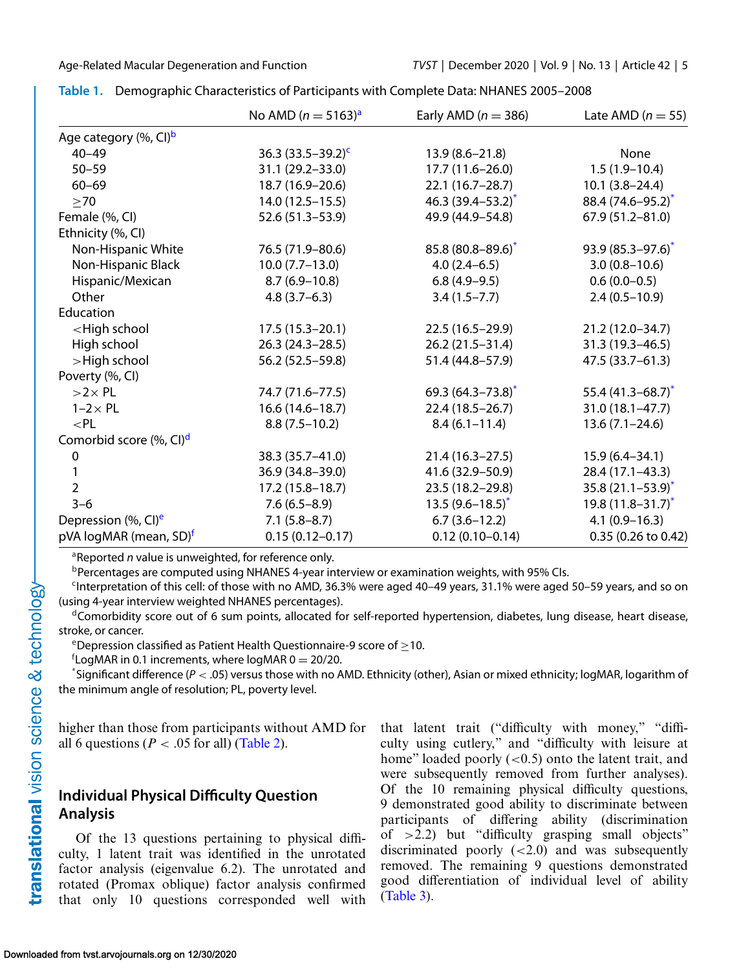|                                                                                                                       | No AMD $(n = 5163)^{a}$ | Early AMD ( $n = 386$ )  | Late AMD ( $n = 55$ )    |
|-----------------------------------------------------------------------------------------------------------------------|-------------------------|--------------------------|--------------------------|
| Age category (%, CI) <sup>b</sup>                                                                                     |                         |                          |                          |
| $40 - 49$                                                                                                             | 36.3 $(33.5-39.2)^c$    | $13.9(8.6 - 21.8)$       | None                     |
| $50 - 59$                                                                                                             | 31.1 (29.2-33.0)        | $17.7(11.6-26.0)$        | $1.5(1.9-10.4)$          |
| $60 - 69$                                                                                                             | 18.7 (16.9-20.6)        | 22.1 (16.7-28.7)         | $10.1(3.8-24.4)$         |
| $\geq 70$                                                                                                             | $14.0(12.5 - 15.5)$     | 46.3 $(39.4 - 53.2)^{*}$ | 88.4 (74.6-95.2)*        |
| Female (%, CI)                                                                                                        | 52.6 (51.3-53.9)        | 49.9 (44.9-54.8)         | $67.9(51.2 - 81.0)$      |
| Ethnicity (%, CI)                                                                                                     |                         |                          |                          |
| Non-Hispanic White                                                                                                    | 76.5 (71.9-80.6)        | $85.8(80.8 - 89.6)^{*}$  | $93.9(85.3 - 97.6)^{*}$  |
| Non-Hispanic Black                                                                                                    | $10.0 (7.7 - 13.0)$     | $4.0(2.4-6.5)$           | $3.0(0.8 - 10.6)$        |
| Hispanic/Mexican                                                                                                      | $8.7(6.9-10.8)$         | $6.8(4.9-9.5)$           | $0.6(0.0-0.5)$           |
| Other                                                                                                                 | $4.8(3.7-6.3)$          | $3.4(1.5 - 7.7)$         | $2.4(0.5-10.9)$          |
| Education                                                                                                             |                         |                          |                          |
| <high school<="" td=""><td><math>17.5(15.3-20.1)</math></td><td>22.5 (16.5-29.9)</td><td>21.2 (12.0-34.7)</td></high> | $17.5(15.3-20.1)$       | 22.5 (16.5-29.9)         | 21.2 (12.0-34.7)         |
| High school                                                                                                           | $26.3(24.3-28.5)$       | $26.2(21.5 - 31.4)$      | $31.3(19.3 - 46.5)$      |
| >High school                                                                                                          | 56.2 (52.5-59.8)        | 51.4 (44.8-57.9)         | $47.5(33.7 - 61.3)$      |
| Poverty (%, CI)                                                                                                       |                         |                          |                          |
| $>2\times$ PL                                                                                                         | 74.7 (71.6–77.5)        | 69.3 $(64.3 - 73.8)^*$   | 55.4 $(41.3 - 68.7)^*$   |
| $1-2 \times PL$                                                                                                       | $16.6(14.6 - 18.7)$     | 22.4 (18.5-26.7)         | $31.0(18.1 - 47.7)$      |
| $<$ PL                                                                                                                | $8.8(7.5-10.2)$         | $8.4(6.1 - 11.4)$        | $13.6(7.1 - 24.6)$       |
| Comorbid score (%, CI) <sup>d</sup>                                                                                   |                         |                          |                          |
| $\pmb{0}$                                                                                                             | 38.3 (35.7-41.0)        | $21.4(16.3-27.5)$        | $15.9(6.4 - 34.1)$       |
| 1                                                                                                                     | 36.9 (34.8-39.0)        | 41.6 (32.9–50.9)         | 28.4 (17.1-43.3)         |
| $\overline{2}$                                                                                                        | $17.2(15.8 - 18.7)$     | 23.5 (18.2-29.8)         | $35.8(21.1 - 53.9)^{*}$  |
| $3 - 6$                                                                                                               | $7.6(6.5-8.9)$          | $13.5(9.6 - 18.5)^{*}$   | 19.8 $(11.8 - 31.7)^{*}$ |
| Depression (%, CI) <sup>e</sup>                                                                                       | $7.1(5.8 - 8.7)$        | $6.7(3.6-12.2)$          | $4.1(0.9 - 16.3)$        |
| pVA logMAR (mean, SD) <sup>f</sup>                                                                                    | $0.15(0.12 - 0.17)$     | $0.12(0.10 - 0.14)$      | 0.35 (0.26 to 0.42)      |

<span id="page-4-0"></span>**Table 1.** Demographic Characteristics of Participants with Complete Data: NHANES 2005–2008

<sup>a</sup>Reported *n* value is unweighted, for reference only.

bPercentages are computed using NHANES 4-year interview or examination weights, with 95% CIs.

 $c$ Interpretation of this cell: of those with no AMD, 36.3% were aged 40–49 years, 31.1% were aged 50–59 years, and so on (using 4-year interview weighted NHANES percentages).

<sup>d</sup>Comorbidity score out of 6 sum points, allocated for self-reported hypertension, diabetes, lung disease, heart disease, stroke, or cancer.

eDepression classified as Patient Health Questionnaire-9 score of  $\geq$ 10.

<sup>f</sup>LogMAR in 0.1 increments, where logMAR 0 = 20/20.<br>\*Significant difference (P < .05) versus those with no.4

Significant difference (*P* < .05) versus those with no AMD. Ethnicity (other), Asian or mixed ethnicity; logMAR, logarithm of the minimum angle of resolution; PL, poverty level.

higher than those from participants without AMD for all 6 questions ( $P < .05$  for all) [\(Table 2\)](#page-5-0).

## **Individual Physical Difficulty Question Analysis**

Of the 13 questions pertaining to physical difficulty, 1 latent trait was identified in the unrotated factor analysis (eigenvalue 6.2). The unrotated and rotated (Promax oblique) factor analysis confirmed that only 10 questions corresponded well with that latent trait ("difficulty with money," "difficulty using cutlery," and "difficulty with leisure at home" loaded poorly  $( $0.5$ )$  onto the latent trait, and were subsequently removed from further analyses). Of the 10 remaining physical difficulty questions, 9 demonstrated good ability to discriminate between participants of differing ability (discrimination of  $>2.2$ ) but "difficulty grasping small objects" discriminated poorly  $( $2.0$ )$  and was subsequently removed. The remaining 9 questions demonstrated good differentiation of individual level of ability [\(Table 3\)](#page-5-0).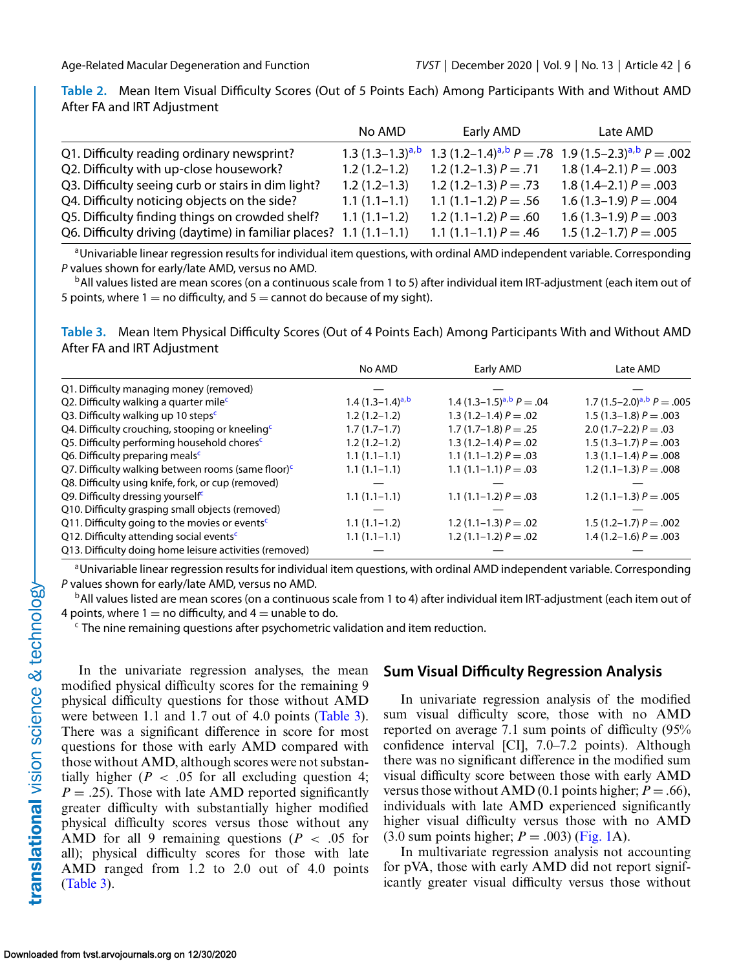<span id="page-5-0"></span>**Table 2.** Mean Item Visual Difficulty Scores (Out of 5 Points Each) Among Participants With and Without AMD After FA and IRT Adjustment

|                                                                    | No AMD                | Early AMD               | Late AMD                                                   |
|--------------------------------------------------------------------|-----------------------|-------------------------|------------------------------------------------------------|
| Q1. Difficulty reading ordinary newsprint?                         | 1.3 $(1.3-1.3)^{a,b}$ |                         | 1.3 $(1.2-1.4)^{a,b}P = .78$ 1.9 $(1.5-2.3)^{a,b}P = .002$ |
| Q2. Difficulty with up-close housework?                            | $1.2(1.2-1.2)$        | 1.2 $(1.2-1.3) P = .71$ | $1.8(1.4-2.1)P=.003$                                       |
| Q3. Difficulty seeing curb or stairs in dim light?                 | $1.2(1.2-1.3)$        | 1.2 $(1.2-1.3) P = .73$ | $1.8(1.4-2.1)P=.003$                                       |
| Q4. Difficulty noticing objects on the side?                       | $1.1(1.1-1.1)$        | 1.1 $(1.1-1.2) P = .56$ | $1.6(1.3-1.9)P=.004$                                       |
| Q5. Difficulty finding things on crowded shelf?                    | $1.1(1.1-1.2)$        | 1.2 $(1.1-1.2) P = .60$ | 1.6 $(1.3-1.9) P = .003$                                   |
| Q6. Difficulty driving (daytime) in familiar places? 1.1 (1.1-1.1) |                       | 1.1 $(1.1-1.1) P = .46$ | 1.5 $(1.2-1.7) P = .005$                                   |

aUnivariable linear regression results for individual item questions, with ordinal AMD independent variable. Corresponding *P* values shown for early/late AMD, versus no AMD.

 $b$ All values listed are mean scores (on a continuous scale from 1 to 5) after individual item IRT-adjustment (each item out of 5 points, where  $1 =$  no difficulty, and  $5 =$  cannot do because of my sight).

**Table 3.** Mean Item Physical Difficulty Scores (Out of 4 Points Each) Among Participants With and Without AMD After FA and IRT Adjustment

|                                                                | No AMD                | Early AMD                     | Late AMD                       |
|----------------------------------------------------------------|-----------------------|-------------------------------|--------------------------------|
| Q1. Difficulty managing money (removed)                        |                       |                               |                                |
| Q2. Difficulty walking a quarter mile <sup>c</sup>             | 1.4 $(1.3-1.4)^{a,b}$ | 1.4 $(1.3-1.5)^{a,b} P = .04$ | 1.7 $(1.5-2.0)^{a,b} P = .005$ |
| Q3. Difficulty walking up 10 steps <sup>c</sup>                | $1.2(1.2-1.2)$        | 1.3 $(1.2-1.4) P = .02$       | $1.5(1.3-1.8)P=.003$           |
| Q4. Difficulty crouching, stooping or kneeling <sup>c</sup>    | $1.7(1.7-1.7)$        | $1.7(1.7-1.8)P=.25$           | 2.0 $(1.7-2.2) P = .03$        |
| Q5. Difficulty performing household chores <sup>c</sup>        | $1.2(1.2-1.2)$        | 1.3 $(1.2-1.4) P = .02$       | 1.5 $(1.3-1.7) P = .003$       |
| Q6. Difficulty preparing meals <sup>c</sup>                    | $1.1(1.1-1.1)$        | 1.1 $(1.1-1.2) P = .03$       | 1.3 (1.1–1.4) $P = .008$       |
| Q7. Difficulty walking between rooms (same floor) <sup>c</sup> | $1.1(1.1-1.1)$        | 1.1 $(1.1-1.1) P = .03$       | 1.2 $(1.1-1.3) P = .008$       |
| Q8. Difficulty using knife, fork, or cup (removed)             |                       |                               |                                |
| Q9. Difficulty dressing yourself <sup>c</sup>                  | $1.1(1.1-1.1)$        | 1.1 $(1.1-1.2) P = .03$       | 1.2 $(1.1-1.3) P = .005$       |
| Q10. Difficulty grasping small objects (removed)               |                       |                               |                                |
| Q11. Difficulty going to the movies or events <sup>c</sup>     | $1.1(1.1-1.2)$        | 1.2 $(1.1-1.3) P = .02$       | 1.5 $(1.2-1.7) P = .002$       |
| Q12. Difficulty attending social events <sup>c</sup>           | $1.1(1.1-1.1)$        | 1.2 $(1.1-1.2) P = .02$       | $1.4(1.2-1.6)P=.003$           |
| Q13. Difficulty doing home leisure activities (removed)        |                       |                               |                                |

<sup>a</sup>Univariable linear regression results for individual item questions, with ordinal AMD independent variable. Corresponding *P* values shown for early/late AMD, versus no AMD.

<sup>b</sup>All values listed are mean scores (on a continuous scale from 1 to 4) after individual item IRT-adjustment (each item out of 4 points, where 1 = no difficulty, and 4 = unable to do.

 $\epsilon$  The nine remaining questions after psychometric validation and item reduction.

In the univariate regression analyses, the mean modified physical difficulty scores for the remaining 9 physical difficulty questions for those without AMD were between 1.1 and 1.7 out of 4.0 points (Table 3). There was a significant difference in score for most questions for those with early AMD compared with those without AMD, although scores were not substantially higher ( $P < .05$  for all excluding question 4;  $P = .25$ ). Those with late AMD reported significantly greater difficulty with substantially higher modified physical difficulty scores versus those without any AMD for all 9 remaining questions ( $P < .05$  for all); physical difficulty scores for those with late AMD ranged from 1.2 to 2.0 out of 4.0 points (Table 3).

## **Sum Visual Difficulty Regression Analysis**

In univariate regression analysis of the modified sum visual difficulty score, those with no AMD reported on average 7.1 sum points of difficulty (95% confidence interval [CI], 7.0–7.2 points). Although there was no significant difference in the modified sum visual difficulty score between those with early AMD versus those without AMD (0.1 points higher;  $P = .66$ ), individuals with late AMD experienced significantly higher visual difficulty versus those with no AMD  $(3.0 \text{ sum points higher}; P = .003)$  [\(Fig. 1A](#page-6-0)).

In multivariate regression analysis not accounting for pVA, those with early AMD did not report significantly greater visual difficulty versus those without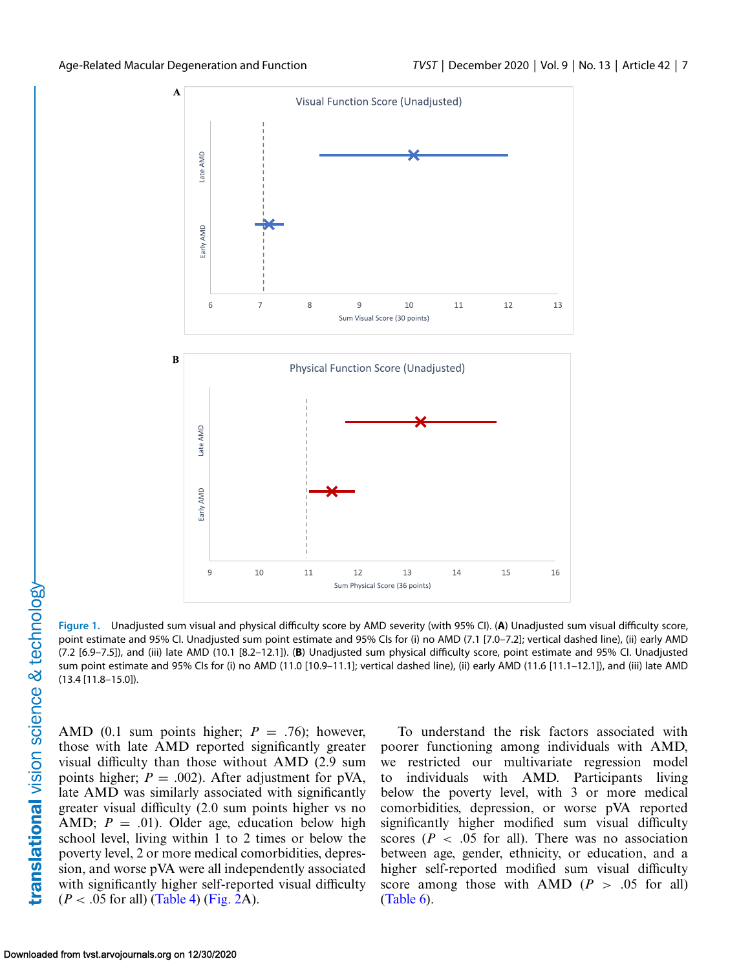<span id="page-6-0"></span>

**Figure 1.** Unadjusted sum visual and physical difficulty score by AMD severity (with 95% CI). (**A**) Unadjusted sum visual difficulty score, point estimate and 95% CI. Unadjusted sum point estimate and 95% CIs for (i) no AMD (7.1 [7.0–7.2]; vertical dashed line), (ii) early AMD (7.2 [6.9–7.5]), and (iii) late AMD (10.1 [8.2–12.1]). (**B**) Unadjusted sum physical difficulty score, point estimate and 95% CI. Unadjusted sum point estimate and 95% CIs for (i) no AMD (11.0 [10.9–11.1]; vertical dashed line), (ii) early AMD (11.6 [11.1–12.1]), and (iii) late AMD (13.4 [11.8–15.0]).

AMD (0.1 sum points higher;  $P = .76$ ); however, those with late AMD reported significantly greater visual difficulty than those without AMD (2.9 sum points higher;  $P = .002$ ). After adjustment for pVA, late AMD was similarly associated with significantly greater visual difficulty (2.0 sum points higher vs no AMD;  $P = .01$ ). Older age, education below high school level, living within 1 to 2 times or below the poverty level, 2 or more medical comorbidities, depression, and worse pVA were all independently associated with significantly higher self-reported visual difficulty  $(P < .05$  for all) [\(Table 4\)](#page-7-0) [\(Fig. 2A](#page-8-0)).

To understand the risk factors associated with poorer functioning among individuals with AMD, we restricted our multivariate regression model to individuals with AMD. Participants living below the poverty level, with 3 or more medical comorbidities, depression, or worse pVA reported significantly higher modified sum visual difficulty scores ( $P < .05$  for all). There was no association between age, gender, ethnicity, or education, and a higher self-reported modified sum visual difficulty score among those with AMD ( $P > .05$  for all) [\(Table 6\)](#page-11-0).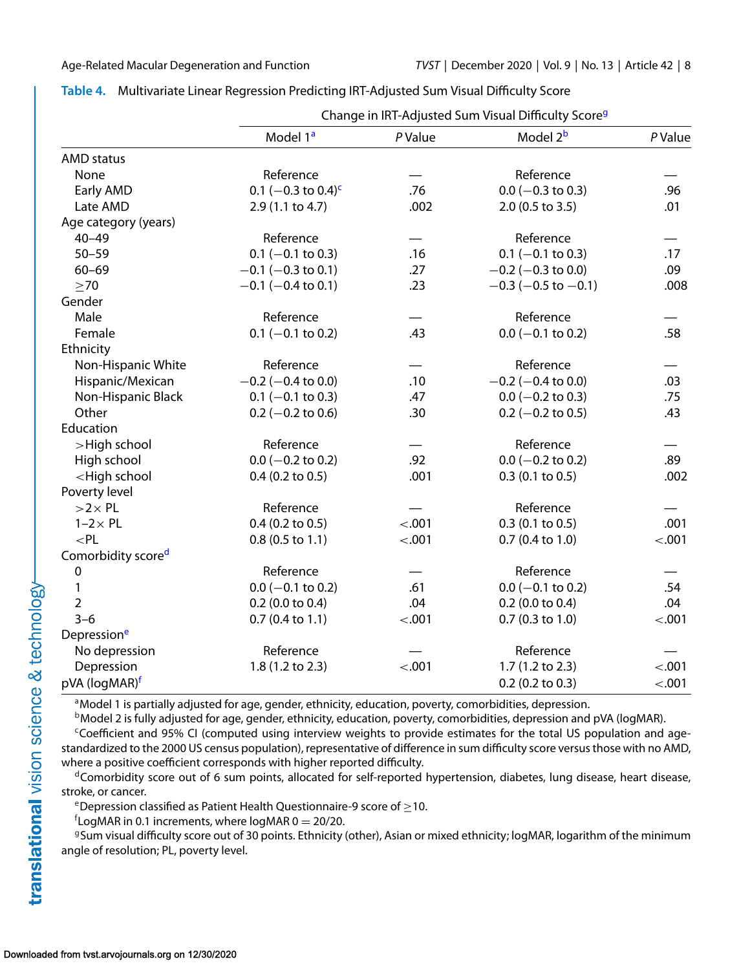|                                                                                                                                      | Change in IRT-Adjusted Sum Visual Difficulty Score <sup>9</sup> |         |                         |         |
|--------------------------------------------------------------------------------------------------------------------------------------|-----------------------------------------------------------------|---------|-------------------------|---------|
|                                                                                                                                      | Model 1 <sup>a</sup>                                            | P Value | Model 2 <sup>b</sup>    | P Value |
| <b>AMD</b> status                                                                                                                    |                                                                 |         |                         |         |
| None                                                                                                                                 | Reference                                                       |         | Reference               |         |
| Early AMD                                                                                                                            | 0.1 $(-0.3 \text{ to } 0.4)^c$                                  | .76     | $0.0$ (-0.3 to 0.3)     | .96     |
| Late AMD                                                                                                                             | 2.9 (1.1 to 4.7)                                                | .002    | 2.0 (0.5 to 3.5)        | .01     |
| Age category (years)                                                                                                                 |                                                                 |         |                         |         |
| $40 - 49$                                                                                                                            | Reference                                                       |         | Reference               |         |
| $50 - 59$                                                                                                                            | $0.1$ (-0.1 to 0.3)                                             | .16     | $0.1$ (-0.1 to 0.3)     | .17     |
| $60 - 69$                                                                                                                            | $-0.1$ (-0.3 to 0.1)                                            | .27     | $-0.2$ (-0.3 to 0.0)    | .09     |
| $\geq 70$                                                                                                                            | $-0.1$ (-0.4 to 0.1)                                            | .23     | $-0.3$ (-0.5 to -0.1)   | .008    |
| Gender                                                                                                                               |                                                                 |         |                         |         |
| Male                                                                                                                                 | Reference                                                       |         | Reference               |         |
| Female                                                                                                                               | $0.1$ (-0.1 to 0.2)                                             | .43     | $0.0$ (-0.1 to 0.2)     | .58     |
| Ethnicity                                                                                                                            |                                                                 |         |                         |         |
| Non-Hispanic White                                                                                                                   | Reference                                                       |         | Reference               |         |
| Hispanic/Mexican                                                                                                                     | $-0.2$ ( $-0.4$ to 0.0)                                         | .10     | $-0.2$ ( $-0.4$ to 0.0) | .03     |
| Non-Hispanic Black                                                                                                                   | $0.1$ (-0.1 to 0.3)                                             | .47     | $0.0$ (-0.2 to 0.3)     | .75     |
| Other                                                                                                                                | $0.2$ (-0.2 to 0.6)                                             | .30     | $0.2$ (-0.2 to 0.5)     | .43     |
| Education                                                                                                                            |                                                                 |         |                         |         |
| >High school                                                                                                                         | Reference                                                       |         | Reference               |         |
| High school                                                                                                                          | $0.0$ (-0.2 to 0.2)                                             | .92     | $0.0$ (-0.2 to 0.2)     | .89     |
| <high school<="" td=""><td><math>0.4</math> (0.2 to 0.5)</td><td>.001</td><td><math>0.3</math> (0.1 to 0.5)</td><td>.002</td></high> | $0.4$ (0.2 to 0.5)                                              | .001    | $0.3$ (0.1 to 0.5)      | .002    |
| Poverty level                                                                                                                        |                                                                 |         |                         |         |
| $>2\times$ PL                                                                                                                        | Reference                                                       |         | Reference               |         |
| $1-2 \times PL$                                                                                                                      | $0.4$ (0.2 to 0.5)                                              | < .001  | $0.3$ (0.1 to 0.5)      | .001    |
| $<$ PL                                                                                                                               | $0.8$ (0.5 to 1.1)                                              | $-.001$ | $0.7$ (0.4 to 1.0)      | $-.001$ |
| Comorbidity score <sup>d</sup>                                                                                                       |                                                                 |         |                         |         |
| 0                                                                                                                                    | Reference                                                       |         | Reference               |         |
| 1                                                                                                                                    | $0.0$ (-0.1 to 0.2)                                             | .61     | $0.0$ (-0.1 to 0.2)     | .54     |
| $\overline{2}$                                                                                                                       | $0.2$ (0.0 to 0.4)                                              | .04     | $0.2$ (0.0 to 0.4)      | .04     |
| $3 - 6$                                                                                                                              | $0.7$ (0.4 to 1.1)                                              | $-.001$ | $0.7$ (0.3 to 1.0)      | $-.001$ |
| Depression <sup>e</sup>                                                                                                              |                                                                 |         |                         |         |
| No depression                                                                                                                        | Reference                                                       |         | Reference               |         |
| Depression                                                                                                                           | 1.8 (1.2 to 2.3)                                                | $-.001$ | 1.7 (1.2 to 2.3)        | $-.001$ |
| pVA (logMAR) <sup>f</sup>                                                                                                            |                                                                 |         | $0.2$ (0.2 to 0.3)      | $-.001$ |

## <span id="page-7-0"></span>**Table 4.** Multivariate Linear Regression Predicting IRT-Adjusted Sum Visual Difficulty Score

<sup>a</sup>Model 1 is partially adjusted for age, gender, ethnicity, education, poverty, comorbidities, depression.

<sup>b</sup>Model 2 is fully adjusted for age, gender, ethnicity, education, poverty, comorbidities, depression and pVA (logMAR).

<sup>c</sup>Coefficient and 95% CI (computed using interview weights to provide estimates for the total US population and agestandardized to the 2000 US census population), representative of difference in sum difficulty score versus those with no AMD, where a positive coefficient corresponds with higher reported difficulty.

dComorbidity score out of 6 sum points, allocated for self-reported hypertension, diabetes, lung disease, heart disease, stroke, or cancer.

eDepression classified as Patient Health Questionnaire-9 score of  $\geq$ 10.

 $f$ LogMAR in 0.1 increments, where logMAR 0 = 20/20.

<sup>g</sup>Sum visual difficulty score out of 30 points. Ethnicity (other), Asian or mixed ethnicity; logMAR, logarithm of the minimum angle of resolution; PL, poverty level.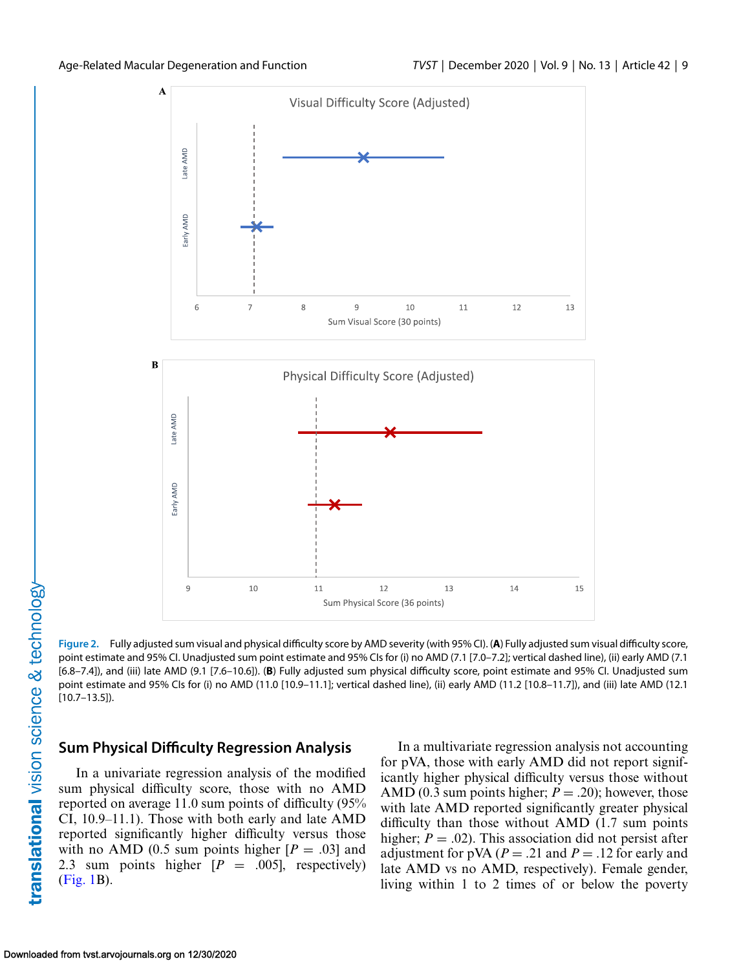<span id="page-8-0"></span>

**Figure 2.** Fully adjusted sum visual and physical difficulty score by AMD severity (with 95% CI). (**A**) Fully adjusted sum visual difficulty score, point estimate and 95% CI. Unadjusted sum point estimate and 95% CIs for (i) no AMD (7.1 [7.0–7.2]; vertical dashed line), (ii) early AMD (7.1 [6.8–7.4]), and (iii) late AMD (9.1 [7.6–10.6]). (**B**) Fully adjusted sum physical difficulty score, point estimate and 95% CI. Unadjusted sum point estimate and 95% CIs for (i) no AMD (11.0 [10.9–11.1]; vertical dashed line), (ii) early AMD (11.2 [10.8–11.7]), and (iii) late AMD (12.1 [10.7–13.5]).

## **Sum Physical Difficulty Regression Analysis**

In a univariate regression analysis of the modified sum physical difficulty score, those with no AMD reported on average 11.0 sum points of difficulty (95% CI, 10.9–11.1). Those with both early and late AMD reported significantly higher difficulty versus those with no AMD (0.5 sum points higher  $[P = .03]$  and 2.3 sum points higher  $[P = .005]$ , respectively) [\(Fig. 1B](#page-6-0)).

In a multivariate regression analysis not accounting for pVA, those with early AMD did not report significantly higher physical difficulty versus those without AMD (0.3 sum points higher;  $P = .20$ ); however, those with late AMD reported significantly greater physical difficulty than those without AMD (1.7 sum points higher;  $P = .02$ ). This association did not persist after adjustment for pVA ( $P = .21$  and  $P = .12$  for early and late AMD vs no AMD, respectively). Female gender, living within 1 to 2 times of or below the poverty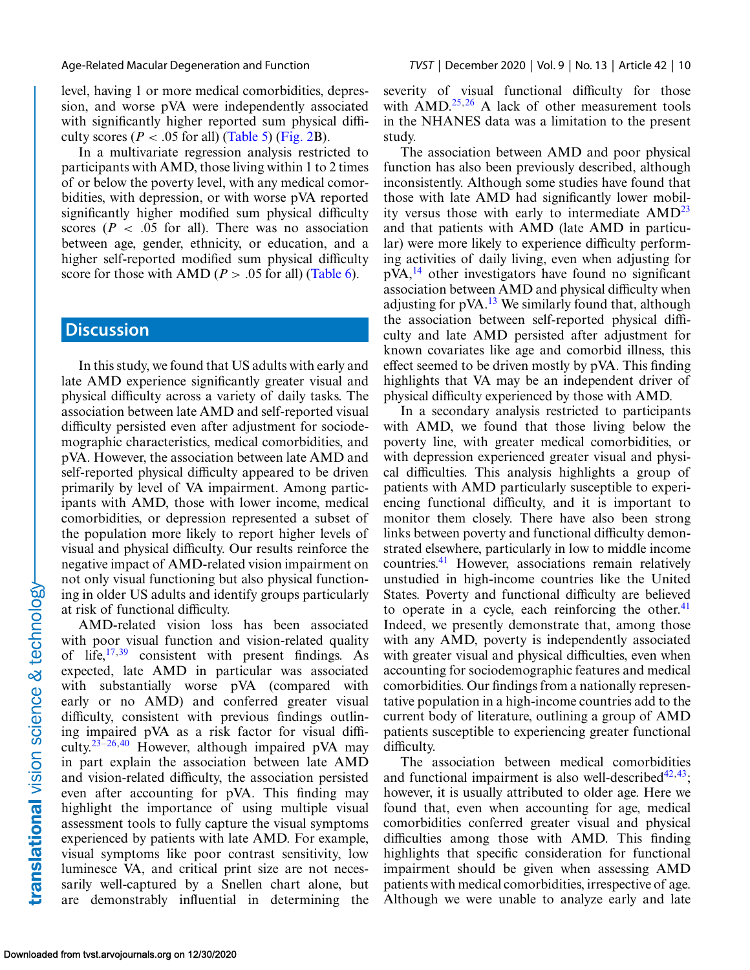level, having 1 or more medical comorbidities, depression, and worse pVA were independently associated with significantly higher reported sum physical difficulty scores ( $P < .05$  for all) [\(Table 5\)](#page-10-0) [\(Fig. 2B](#page-8-0)).

In a multivariate regression analysis restricted to participants with AMD, those living within 1 to 2 times of or below the poverty level, with any medical comorbidities, with depression, or with worse pVA reported significantly higher modified sum physical difficulty scores ( $P < .05$  for all). There was no association between age, gender, ethnicity, or education, and a higher self-reported modified sum physical difficulty score for those with AMD ( $P > .05$  for all) [\(Table 6\)](#page-11-0).

### **Discussion**

In this study, we found that US adults with early and late AMD experience significantly greater visual and physical difficulty across a variety of daily tasks. The association between late AMD and self-reported visual difficulty persisted even after adjustment for sociodemographic characteristics, medical comorbidities, and pVA. However, the association between late AMD and self-reported physical difficulty appeared to be driven primarily by level of VA impairment. Among participants with AMD, those with lower income, medical comorbidities, or depression represented a subset of the population more likely to report higher levels of visual and physical difficulty. Our results reinforce the negative impact of AMD-related vision impairment on not only visual functioning but also physical functioning in older US adults and identify groups particularly at risk of functional difficulty.

AMD-related vision loss has been associated with poor visual function and vision-related quality of life, $17,39$  consistent with present findings. As expected, late AMD in particular was associated with substantially worse pVA (compared with early or no AMD) and conferred greater visual difficulty, consistent with previous findings outlining impaired pVA as a risk factor for visual diffi-culty.<sup>23-26,[40](#page-15-0)</sup> However, although impaired pVA may in part explain the association between late AMD and vision-related difficulty, the association persisted even after accounting for pVA. This finding may highlight the importance of using multiple visual assessment tools to fully capture the visual symptoms experienced by patients with late AMD. For example, visual symptoms like poor contrast sensitivity, low luminesce VA, and critical print size are not necessarily well-captured by a Snellen chart alone, but are demonstrably influential in determining the severity of visual functional difficulty for those with  $\text{AMD.}^{25,26}$  $\text{AMD.}^{25,26}$  $\text{AMD.}^{25,26}$  A lack of other measurement tools in the NHANES data was a limitation to the present study.

The association between AMD and poor physical function has also been previously described, although inconsistently. Although some studies have found that those with late AMD had significantly lower mobility versus those with early to intermediate  $\text{AMD}^{23}$ and that patients with AMD (late AMD in particular) were more likely to experience difficulty performing activities of daily living, even when adjusting for pVA,[14](#page-13-0) other investigators have found no significant association between AMD and physical difficulty when adjusting for  $pVA$ .<sup>13</sup> We similarly found that, although the association between self-reported physical difficulty and late AMD persisted after adjustment for known covariates like age and comorbid illness, this effect seemed to be driven mostly by pVA. This finding highlights that VA may be an independent driver of physical difficulty experienced by those with AMD.

In a secondary analysis restricted to participants with AMD, we found that those living below the poverty line, with greater medical comorbidities, or with depression experienced greater visual and physical difficulties. This analysis highlights a group of patients with AMD particularly susceptible to experiencing functional difficulty, and it is important to monitor them closely. There have also been strong links between poverty and functional difficulty demonstrated elsewhere, particularly in low to middle income countries.[41](#page-15-0) However, associations remain relatively unstudied in high-income countries like the United States. Poverty and functional difficulty are believed to operate in a cycle, each reinforcing the other. $41$ Indeed, we presently demonstrate that, among those with any AMD, poverty is independently associated with greater visual and physical difficulties, even when accounting for sociodemographic features and medical comorbidities. Our findings from a nationally representative population in a high-income countries add to the current body of literature, outlining a group of AMD patients susceptible to experiencing greater functional difficulty.

The association between medical comorbidities and functional impairment is also well-described  $42,43$ ; however, it is usually attributed to older age. Here we found that, even when accounting for age, medical comorbidities conferred greater visual and physical difficulties among those with AMD. This finding highlights that specific consideration for functional impairment should be given when assessing AMD patients with medical comorbidities, irrespective of age. Although we were unable to analyze early and late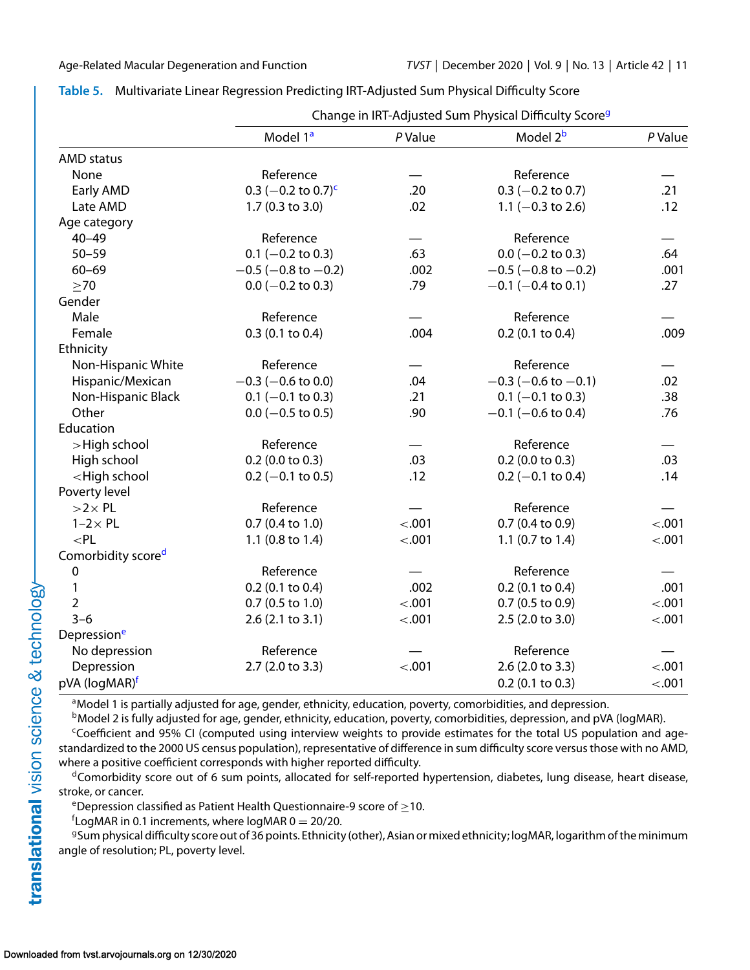|                                                                                                                                      | Change in IRT-Adjusted Sum Physical Difficulty Score <sup>9</sup> |         |                             |         |
|--------------------------------------------------------------------------------------------------------------------------------------|-------------------------------------------------------------------|---------|-----------------------------|---------|
|                                                                                                                                      | Model 1 <sup>a</sup>                                              | P Value | Model 2 <sup>b</sup>        | P Value |
| <b>AMD</b> status                                                                                                                    |                                                                   |         |                             |         |
| None                                                                                                                                 | Reference                                                         |         | Reference                   |         |
| Early AMD                                                                                                                            | 0.3 $(-0.2 \text{ to } 0.7)^c$                                    | .20     | $0.3$ (-0.2 to 0.7)         | .21     |
| Late AMD                                                                                                                             | 1.7 (0.3 to 3.0)                                                  | .02     | 1.1 $(-0.3$ to 2.6)         | .12     |
| Age category                                                                                                                         |                                                                   |         |                             |         |
| $40 - 49$                                                                                                                            | Reference                                                         |         | Reference                   |         |
| $50 - 59$                                                                                                                            | $0.1$ (-0.2 to 0.3)                                               | .63     | $0.0$ (-0.2 to 0.3)         | .64     |
| $60 - 69$                                                                                                                            | $-0.5$ ( $-0.8$ to $-0.2$ )                                       | .002    | $-0.5$ ( $-0.8$ to $-0.2$ ) | .001    |
| $\geq 70$                                                                                                                            | $0.0$ (-0.2 to 0.3)                                               | .79     | $-0.1$ (-0.4 to 0.1)        | .27     |
| Gender                                                                                                                               |                                                                   |         |                             |         |
| Male                                                                                                                                 | Reference                                                         |         | Reference                   |         |
| Female                                                                                                                               | $0.3$ (0.1 to 0.4)                                                | .004    | $0.2$ (0.1 to 0.4)          | .009    |
| Ethnicity                                                                                                                            |                                                                   |         |                             |         |
| Non-Hispanic White                                                                                                                   | Reference                                                         |         | Reference                   |         |
| Hispanic/Mexican                                                                                                                     | $-0.3$ ( $-0.6$ to 0.0)                                           | .04     | $-0.3$ (-0.6 to -0.1)       | .02     |
| Non-Hispanic Black                                                                                                                   | $0.1$ (-0.1 to 0.3)                                               | .21     | $0.1$ (-0.1 to 0.3)         | .38     |
| Other                                                                                                                                | $0.0$ (-0.5 to 0.5)                                               | .90     | $-0.1$ ( $-0.6$ to 0.4)     | .76     |
| Education                                                                                                                            |                                                                   |         |                             |         |
| >High school                                                                                                                         | Reference                                                         |         | Reference                   |         |
| High school                                                                                                                          | $0.2$ (0.0 to 0.3)                                                | .03     | $0.2$ (0.0 to 0.3)          | .03     |
| <high school<="" td=""><td><math>0.2</math> (-0.1 to 0.5)</td><td>.12</td><td><math>0.2</math> (-0.1 to 0.4)</td><td>.14</td></high> | $0.2$ (-0.1 to 0.5)                                               | .12     | $0.2$ (-0.1 to 0.4)         | .14     |
| Poverty level                                                                                                                        |                                                                   |         |                             |         |
| $>2\times$ PL                                                                                                                        | Reference                                                         |         | Reference                   |         |
| $1-2 \times PL$                                                                                                                      | $0.7$ (0.4 to 1.0)                                                | $-.001$ | $0.7$ (0.4 to 0.9)          | $-.001$ |
| $<$ PL                                                                                                                               | 1.1 (0.8 to 1.4)                                                  | $-.001$ | 1.1 $(0.7 \text{ to } 1.4)$ | $-.001$ |
| Comorbidity scored                                                                                                                   |                                                                   |         |                             |         |
| $\boldsymbol{0}$                                                                                                                     | Reference                                                         |         | Reference                   |         |
| 1                                                                                                                                    | $0.2$ (0.1 to 0.4)                                                | .002    | $0.2$ (0.1 to 0.4)          | .001    |
| $\overline{2}$                                                                                                                       | $0.7$ (0.5 to 1.0)                                                | $-.001$ | $0.7$ (0.5 to 0.9)          | $-.001$ |
| $3 - 6$                                                                                                                              | 2.6(2.1 to 3.1)                                                   | $-.001$ | 2.5 (2.0 to 3.0)            | $-.001$ |
| Depression <sup>e</sup>                                                                                                              |                                                                   |         |                             |         |
| No depression                                                                                                                        | Reference                                                         |         | Reference                   |         |
| Depression                                                                                                                           | 2.7 (2.0 to 3.3)                                                  | $-.001$ | 2.6 (2.0 to 3.3)            | $-.001$ |
| pVA (logMAR) <sup>f</sup>                                                                                                            |                                                                   |         | $0.2$ (0.1 to 0.3)          | $-.001$ |

## <span id="page-10-0"></span>**Table 5.** Multivariate Linear Regression Predicting IRT-Adjusted Sum Physical Difficulty Score

<sup>a</sup>Model 1 is partially adjusted for age, gender, ethnicity, education, poverty, comorbidities, and depression.

<sup>b</sup>Model 2 is fully adjusted for age, gender, ethnicity, education, poverty, comorbidities, depression, and pVA (logMAR).

<sup>c</sup>Coefficient and 95% CI (computed using interview weights to provide estimates for the total US population and agestandardized to the 2000 US census population), representative of difference in sum difficulty score versus those with no AMD, where a positive coefficient corresponds with higher reported difficulty.

 $d$ Comorbidity score out of 6 sum points, allocated for self-reported hypertension, diabetes, lung disease, heart disease, stroke, or cancer.

eDepression classified as Patient Health Questionnaire-9 score of  $\geq$ 10.

 $f$ LogMAR in 0.1 increments, where logMAR 0 = 20/20.

<sup>g</sup>Sum physical difficulty score out of 36 points. Ethnicity (other), Asian or mixed ethnicity; logMAR, logarithm of the minimum angle of resolution; PL, poverty level.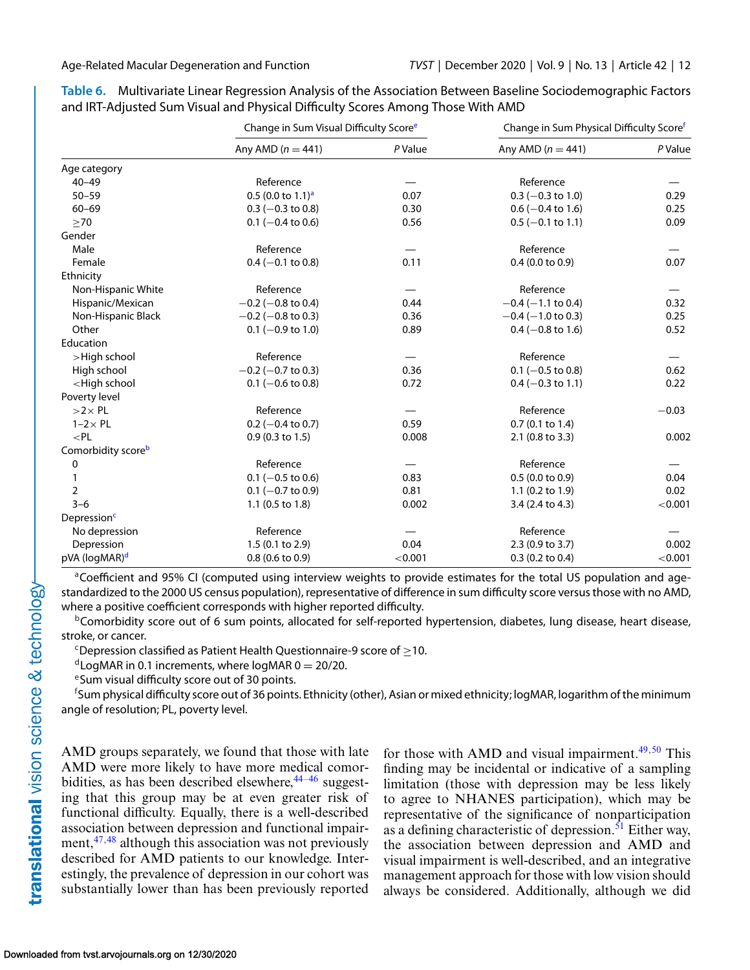|                                                                                                                                                 | Change in Sum Visual Difficulty Score <sup>e</sup> |         | Change in Sum Physical Difficulty Scoref |         |
|-------------------------------------------------------------------------------------------------------------------------------------------------|----------------------------------------------------|---------|------------------------------------------|---------|
|                                                                                                                                                 | Any AMD $(n = 441)$                                | P Value | Any AMD $(n = 441)$                      | P Value |
| Age category                                                                                                                                    |                                                    |         |                                          |         |
| $40 - 49$                                                                                                                                       | Reference                                          |         | Reference                                |         |
| $50 - 59$                                                                                                                                       | $0.5$ (0.0 to 1.1) <sup>a</sup>                    | 0.07    | $0.3$ (-0.3 to 1.0)                      | 0.29    |
| $60 - 69$                                                                                                                                       | $0.3$ (-0.3 to 0.8)                                | 0.30    | $0.6$ (-0.4 to 1.6)                      | 0.25    |
| >70                                                                                                                                             | $0.1$ (-0.4 to 0.6)                                | 0.56    | $0.5$ (-0.1 to 1.1)                      | 0.09    |
| Gender                                                                                                                                          |                                                    |         |                                          |         |
| Male                                                                                                                                            | Reference                                          |         | Reference                                |         |
| Female                                                                                                                                          | $0.4 (-0.1 to 0.8)$                                | 0.11    | $0.4$ (0.0 to 0.9)                       | 0.07    |
| Ethnicity                                                                                                                                       |                                                    |         |                                          |         |
| Non-Hispanic White                                                                                                                              | Reference                                          |         | Reference                                |         |
| Hispanic/Mexican                                                                                                                                | $-0.2$ ( $-0.8$ to 0.4)                            | 0.44    | $-0.4$ ( $-1.1$ to 0.4)                  | 0.32    |
| Non-Hispanic Black                                                                                                                              | $-0.2$ ( $-0.8$ to 0.3)                            | 0.36    | $-0.4$ ( $-1.0$ to 0.3)                  | 0.25    |
| Other                                                                                                                                           | $0.1$ (-0.9 to 1.0)                                | 0.89    | $0.4$ (-0.8 to 1.6)                      | 0.52    |
| Education                                                                                                                                       |                                                    |         |                                          |         |
| >High school                                                                                                                                    | Reference                                          |         | Reference                                |         |
| High school                                                                                                                                     | $-0.2$ (-0.7 to 0.3)                               | 0.36    | $0.1$ (-0.5 to 0.8)                      | 0.62    |
| <high school<="" td=""><td><math>0.1</math> (-0.6 to 0.8)</td><td>0.72</td><td><math>0.4 (-0.3 \text{ to } 1.1)</math></td><td>0.22</td></high> | $0.1$ (-0.6 to 0.8)                                | 0.72    | $0.4 (-0.3 \text{ to } 1.1)$             | 0.22    |
| Poverty level                                                                                                                                   |                                                    |         |                                          |         |
| $>2\times$ PL                                                                                                                                   | Reference                                          |         | Reference                                | $-0.03$ |
| $1-2 \times PL$                                                                                                                                 | $0.2$ (-0.4 to 0.7)                                | 0.59    | $0.7$ (0.1 to 1.4)                       |         |
| $<$ PL                                                                                                                                          | $0.9(0.3 \text{ to } 1.5)$                         | 0.008   | 2.1 (0.8 to 3.3)                         | 0.002   |
| Comorbidity scoreb                                                                                                                              |                                                    |         |                                          |         |
| 0                                                                                                                                               | Reference                                          |         | Reference                                |         |
|                                                                                                                                                 | $0.1$ (-0.5 to 0.6)                                | 0.83    | 0.5(0.0 to 0.9)                          | 0.04    |
| 2                                                                                                                                               | $0.1$ (-0.7 to 0.9)                                | 0.81    | 1.1 $(0.2 \text{ to } 1.9)$              | 0.02    |
| $3 - 6$                                                                                                                                         | 1.1 (0.5 to 1.8)                                   | 0.002   | 3.4 (2.4 to 4.3)                         | < 0.001 |
| Depression <sup>c</sup>                                                                                                                         |                                                    |         |                                          |         |
| No depression                                                                                                                                   | Reference                                          |         | Reference                                |         |
| Depression                                                                                                                                      | 1.5 (0.1 to 2.9)                                   | 0.04    | 2.3 (0.9 to 3.7)                         | 0.002   |
| pVA (logMAR) <sup>d</sup>                                                                                                                       | $0.8$ (0.6 to 0.9)                                 | < 0.001 | $0.3$ (0.2 to 0.4)                       | < 0.001 |

<span id="page-11-0"></span>**Table 6.** Multivariate Linear Regression Analysis of the Association Between Baseline Sociodemographic Factors and IRT-Adjusted Sum Visual and Physical Difficulty Scores Among Those With AMD

<sup>a</sup>Coefficient and 95% CI (computed using interview weights to provide estimates for the total US population and agestandardized to the 2000 US census population), representative of difference in sum difficulty score versus those with no AMD, where a positive coefficient corresponds with higher reported difficulty.

 $b$ Comorbidity score out of 6 sum points, allocated for self-reported hypertension, diabetes, lung disease, heart disease, stroke, or cancer.

 $c$ Depression classified as Patient Health Questionnaire-9 score of  $\geq$ 10.

<sup>d</sup>LogMAR in 0.1 increments, where logMAR 0 = 20/20.<br><sup>e</sup>Sum visual difficulty score out of 30 points.

f Sum physical difficulty score out of 36 points. Ethnicity (other), Asian or mixed ethnicity; logMAR, logarithm of the minimum angle of resolution; PL, poverty level.

AMD groups separately, we found that those with late AMD were more likely to have more medical comorbidities, as has been described elsewhere,  $44-46$  suggesting that this group may be at even greater risk of functional difficulty. Equally, there is a well-described association between depression and functional impairment,  $47,48$  although this association was not previously described for AMD patients to our knowledge. Interestingly, the prevalence of depression in our cohort was substantially lower than has been previously reported for those with AMD and visual impairment. $49,50$  This finding may be incidental or indicative of a sampling limitation (those with depression may be less likely to agree to NHANES participation), which may be representative of the significance of nonparticipation as a defining characteristic of depression. $51$  Either way, the association between depression and AMD and visual impairment is well-described, and an integrative management approach for those with low vision should always be considered. Additionally, although we did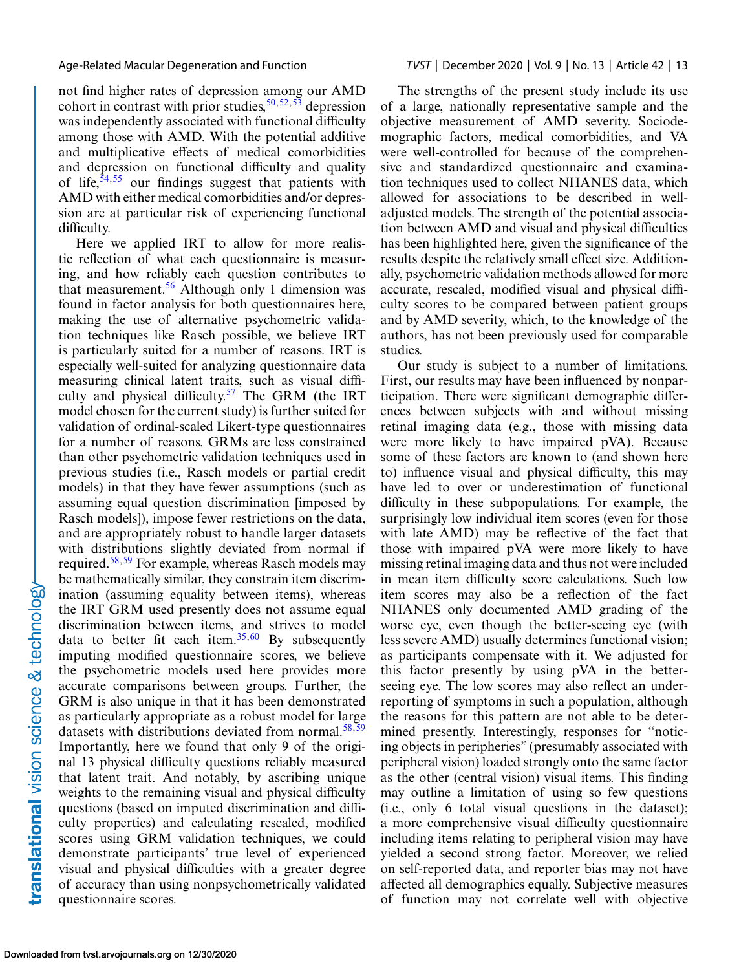not find higher rates of depression among our AMD cohort in contrast with prior studies,  $50, 52, 53$  depression was independently associated with functional difficulty among those with AMD. With the potential additive and multiplicative effects of medical comorbidities and depression on functional difficulty and quality of life, $54,55$  our findings suggest that patients with AMD with either medical comorbidities and/or depression are at particular risk of experiencing functional difficulty.

Here we applied IRT to allow for more realistic reflection of what each questionnaire is measuring, and how reliably each question contributes to that measurement.<sup>[56](#page-15-0)</sup> Although only 1 dimension was found in factor analysis for both questionnaires here, making the use of alternative psychometric validation techniques like Rasch possible, we believe IRT is particularly suited for a number of reasons. IRT is especially well-suited for analyzing questionnaire data measuring clinical latent traits, such as visual difficulty and physical difficulty.<sup>57</sup> The GRM (the IRT model chosen for the current study) is further suited for validation of ordinal-scaled Likert-type questionnaires for a number of reasons. GRMs are less constrained than other psychometric validation techniques used in previous studies (i.e., Rasch models or partial credit models) in that they have fewer assumptions (such as assuming equal question discrimination [imposed by Rasch models]), impose fewer restrictions on the data, and are appropriately robust to handle larger datasets with distributions slightly deviated from normal if required.<sup>[58,59](#page-15-0)</sup> For example, whereas Rasch models may be mathematically similar, they constrain item discrimination (assuming equality between items), whereas the IRT GRM used presently does not assume equal discrimination between items, and strives to model data to better fit each item.<sup>[35,](#page-14-0)[60](#page-15-0)</sup> By subsequently imputing modified questionnaire scores, we believe the psychometric models used here provides more accurate comparisons between groups. Further, the GRM is also unique in that it has been demonstrated as particularly appropriate as a robust model for large datasets with distributions deviated from normal.<sup>58,59</sup> Importantly, here we found that only 9 of the original 13 physical difficulty questions reliably measured that latent trait. And notably, by ascribing unique weights to the remaining visual and physical difficulty questions (based on imputed discrimination and difficulty properties) and calculating rescaled, modified scores using GRM validation techniques, we could demonstrate participants' true level of experienced visual and physical difficulties with a greater degree of accuracy than using nonpsychometrically validated questionnaire scores.

The strengths of the present study include its use of a large, nationally representative sample and the objective measurement of AMD severity. Sociodemographic factors, medical comorbidities, and VA were well-controlled for because of the comprehensive and standardized questionnaire and examination techniques used to collect NHANES data, which allowed for associations to be described in welladjusted models. The strength of the potential association between AMD and visual and physical difficulties has been highlighted here, given the significance of the results despite the relatively small effect size. Additionally, psychometric validation methods allowed for more accurate, rescaled, modified visual and physical difficulty scores to be compared between patient groups and by AMD severity, which, to the knowledge of the authors, has not been previously used for comparable studies.

Our study is subject to a number of limitations. First, our results may have been influenced by nonparticipation. There were significant demographic differences between subjects with and without missing retinal imaging data (e.g., those with missing data were more likely to have impaired pVA). Because some of these factors are known to (and shown here to) influence visual and physical difficulty, this may have led to over or underestimation of functional difficulty in these subpopulations. For example, the surprisingly low individual item scores (even for those with late AMD) may be reflective of the fact that those with impaired pVA were more likely to have missing retinal imaging data and thus not were included in mean item difficulty score calculations. Such low item scores may also be a reflection of the fact NHANES only documented AMD grading of the worse eye, even though the better-seeing eye (with less severe AMD) usually determines functional vision; as participants compensate with it. We adjusted for this factor presently by using pVA in the betterseeing eye. The low scores may also reflect an underreporting of symptoms in such a population, although the reasons for this pattern are not able to be determined presently. Interestingly, responses for "noticing objects in peripheries" (presumably associated with peripheral vision) loaded strongly onto the same factor as the other (central vision) visual items. This finding may outline a limitation of using so few questions (i.e., only 6 total visual questions in the dataset); a more comprehensive visual difficulty questionnaire including items relating to peripheral vision may have yielded a second strong factor. Moreover, we relied on self-reported data, and reporter bias may not have affected all demographics equally. Subjective measures of function may not correlate well with objective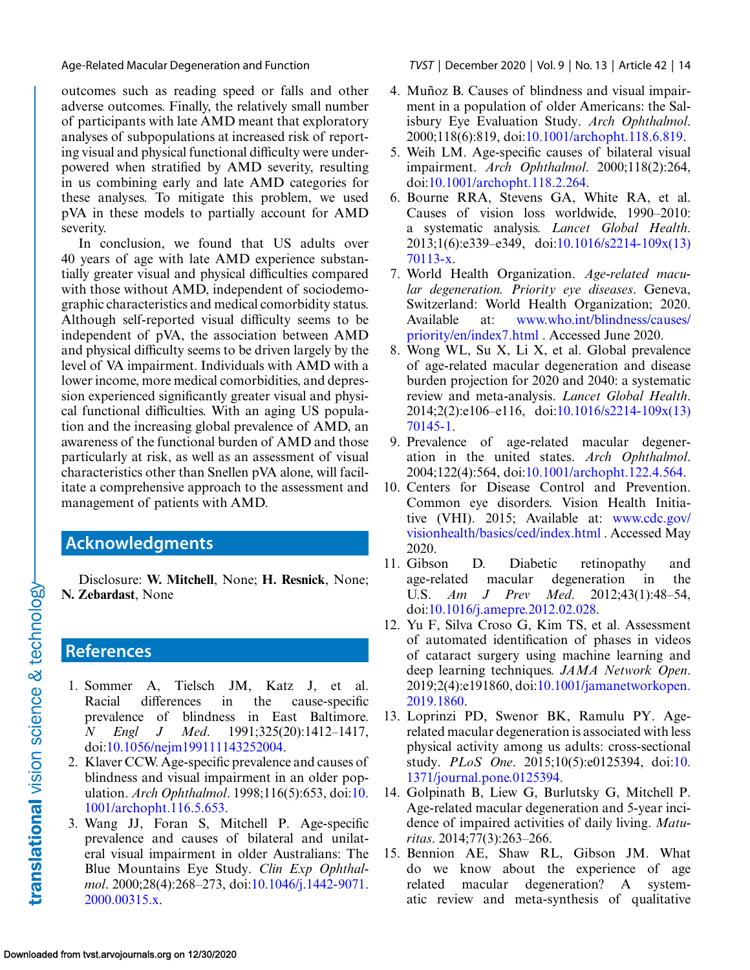outcomes such as reading speed or falls and other adverse outcomes. Finally, the relatively small number of participants with late AMD meant that exploratory analyses of subpopulations at increased risk of reporting visual and physical functional difficulty were underpowered when stratified by AMD severity, resulting in us combining early and late AMD categories for these analyses. To mitigate this problem, we used pVA in these models to partially account for AMD severity.

In conclusion, we found that US adults over 40 years of age with late AMD experience substantially greater visual and physical difficulties compared with those without AMD, independent of sociodemographic characteristics and medical comorbidity status. Although self-reported visual difficulty seems to be independent of pVA, the association between AMD and physical difficulty seems to be driven largely by the level of VA impairment. Individuals with AMD with a lower income, more medical comorbidities, and depression experienced significantly greater visual and physical functional difficulties. With an aging US population and the increasing global prevalence of AMD, an awareness of the functional burden of AMD and those particularly at risk, as well as an assessment of visual characteristics other than Snellen pVA alone, will facilitate a comprehensive approach to the assessment and management of patients with AMD.

## **Acknowledgments**

Disclosure: **W. Mitchell**, None; **H. Resnick**, None; **N. Zebardast**, None

## **References**

- 1. Sommer A, Tielsch JM, Katz J, et al. Racial differences in the cause-specific prevalence of blindness in East Baltimore. *N Engl J Med*. 1991;325(20):1412–1417, doi[:10.1056/nejm199111143252004.](http://doi.org/10.1056/nejm199111143252004)
- 2. Klaver CCW. Age-specific prevalence and causes of blindness and visual impairment in an older population. *Arch Ophthalmol*. 1998;116(5):653, doi:10. [1001/archopht.116.5.653.](http://doi.org/10.1001/archopht.116.5.653)
- 3. Wang JJ, Foran S, Mitchell P. Age-specific prevalence and causes of bilateral and unilateral visual impairment in older Australians: The Blue Mountains Eye Study. *Clin Exp Ophthalmol*[. 2000;28\(4\):268–273, doi:10.1046/j.1442-9071.](http://doi.org/10.1046/j.1442-9071.2000.00315.x) 2000.00315.x.

<span id="page-13-0"></span>Age-Related Macular Degeneration and Function *TVST* | December 2020 | Vol. 9 | No. 13 | Article 42 | 14

- 4. Muñoz B. Causes of blindness and visual impairment in a population of older Americans: the Salisbury Eye Evaluation Study. *Arch Ophthalmol*. 2000;118(6):819, doi[:10.1001/archopht.118.6.819.](http://doi.org/10.1001/archopht.118.6.819)
- 5. Weih LM. Age-specific causes of bilateral visual impairment. *Arch Ophthalmol*. 2000;118(2):264, doi[:10.1001/archopht.118.2.264.](http://doi.org/10.1001/archopht.118.2.264)
- 6. Bourne RRA, Stevens GA, White RA, et al. Causes of vision loss worldwide, 1990–2010: a systematic analysis. *Lancet Global Health*. [2013;1\(6\):e339–e349, doi:10.1016/s2214-109x\(13\)](http://doi.org/10.1016/s2214-109x(13)70113-x) 70113-x.
- 7. World Health Organization. *Age-related macular degeneration. Priority eye diseases*. Geneva, Switzerland: World Health Organization; 2020. Available at: [www.who.int/blindness/causes/](http://www.who.int/blindness/causes/priority/en/index7.html) priority/en/index7.html . Accessed June 2020.
- 8. Wong WL, Su X, Li X, et al. Global prevalence of age-related macular degeneration and disease burden projection for 2020 and 2040: a systematic review and meta-analysis. *Lancet Global Health*. [2014;2\(2\):e106–e116, doi:10.1016/s2214-109x\(13\)](http://doi.org/10.1016/s2214-109x(13)70145-1) 70145-1.
- 9. Prevalence of age-related macular degeneration in the united states. *Arch Ophthalmol*. 2004;122(4):564, doi[:10.1001/archopht.122.4.564.](http://doi.org/10.1001/archopht.122.4.564)
- 10. Centers for Disease Control and Prevention. Common eye disorders. Vision Health Initia[tive \(VHI\). 2015; Available at:](http://www.cdc.gov/visionhealth/basics/ced/index.html) www.cdc.gov/ visionhealth/basics/ced/index.html . Accessed May 2020.
- 11. Gibson D. Diabetic retinopathy and age-related macular degeneration in the U.S. *Am J Prev Med*. 2012;43(1):48–54, doi[:10.1016/j.amepre.2012.02.028.](http://doi.org/10.1016/j.amepre.2012.02.028)
- 12. Yu F, Silva Croso G, Kim TS, et al. Assessment of automated identification of phases in videos of cataract surgery using machine learning and deep learning techniques. *JAMA Network Open*. [2019;2\(4\):e191860, doi:10.1001/jamanetworkopen.](http://doi.org/10.1001/jamanetworkopen.2019.1860) 2019.1860.
- 13. Loprinzi PD, Swenor BK, Ramulu PY. Agerelated macular degeneration is associated with less physical activity among us adults: cross-sectional study. *PLoS One*[. 2015;10\(5\):e0125394, doi:10.](http://doi.org/10.1371/journal.pone.0125394) 1371/journal.pone.0125394.
- 14. Golpinath B, Liew G, Burlutsky G, Mitchell P. Age-related macular degeneration and 5-year incidence of impaired activities of daily living. *Maturitas*. 2014;77(3):263–266.
- 15. Bennion AE, Shaw RL, Gibson JM. What do we know about the experience of age related macular degeneration? A systematic review and meta-synthesis of qualitative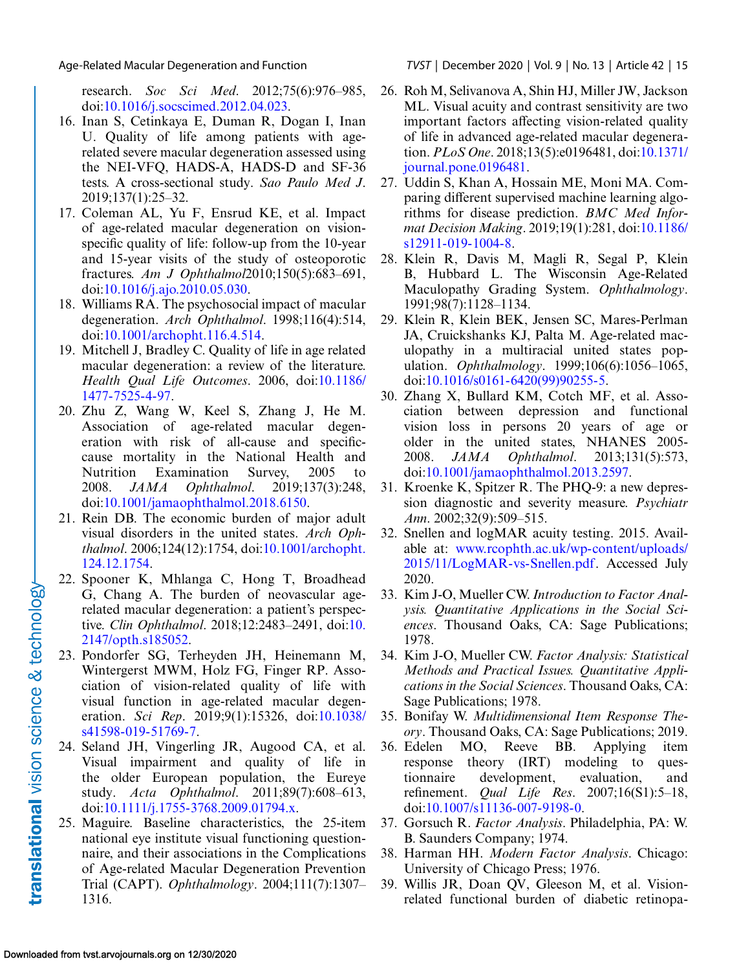<span id="page-14-0"></span>Age-Related Macular Degeneration and Function *TVST* | December 2020 | Vol. 9 | No. 13 | Article 42 | 15

research. *Soc Sci Med*. 2012;75(6):976–985, doi[:10.1016/j.socscimed.2012.04.023.](http://doi.org/10.1016/j.socscimed.2012.04.023)

- 16. Inan S, Cetinkaya E, Duman R, Dogan I, Inan U. Quality of life among patients with agerelated severe macular degeneration assessed using the NEI-VFQ, HADS-A, HADS-D and SF-36 tests. A cross-sectional study. *Sao Paulo Med J*. 2019;137(1):25–32.
- 17. Coleman AL, Yu F, Ensrud KE, et al. Impact of age-related macular degeneration on visionspecific quality of life: follow-up from the 10-year and 15-year visits of the study of osteoporotic fractures. *Am J Ophthalmol*2010;150(5):683–691, doi[:10.1016/j.ajo.2010.05.030.](http://doi.org/10.1016/j.ajo.2010.05.030)
- 18. Williams RA. The psychosocial impact of macular degeneration. *Arch Ophthalmol*. 1998;116(4):514, doi[:10.1001/archopht.116.4.514.](http://doi.org/10.1001/archopht.116.4.514)
- 19. Mitchell J, Bradley C. Quality of life in age related macular degeneration: a review of the literature. *[Health Qual Life Outcomes](http://doi.org/10.1186/1477-7525-4-97)*. 2006, doi:10.1186/ 1477-7525-4-97.
- 20. Zhu Z, Wang W, Keel S, Zhang J, He M. Association of age-related macular degeneration with risk of all-cause and specificcause mortality in the National Health and Nutrition Examination Survey, 2005 to 2008. *JAMA Ophthalmol*. 2019;137(3):248, doi[:10.1001/jamaophthalmol.2018.6150.](http://doi.org/10.1001/jamaophthalmol.2018.6150)
- 21. Rein DB. The economic burden of major adult visual disorders in the united states. *Arch Ophthalmol*[. 2006;124\(12\):1754, doi:10.1001/archopht.](http://doi.org/10.1001/archopht.124.12.1754) 124.12.1754.
- 22. Spooner K, Mhlanga C, Hong T, Broadhead G, Chang A. The burden of neovascular agerelated macular degeneration: a patient's perspective. *Clin Ophthalmol*[. 2018;12:2483–2491, doi:10.](http://doi.org/10.2147/opth.s185052) 2147/opth.s185052.
- 23. Pondorfer SG, Terheyden JH, Heinemann M, Wintergerst MWM, Holz FG, Finger RP. Association of vision-related quality of life with visual function in age-related macular degeneration. *Sci Rep*[. 2019;9\(1\):15326, doi:10.1038/](http://doi.org/10.1038/s41598-019-51769-7) s41598-019-51769-7.
- 24. Seland JH, Vingerling JR, Augood CA, et al. Visual impairment and quality of life in the older European population, the Eureye study. *Acta Ophthalmol*. 2011;89(7):608–613, doi[:10.1111/j.1755-3768.2009.01794.x.](http://doi.org/10.1111/j.1755-3768.2009.01794.x)
- 25. Maguire. Baseline characteristics, the 25-item national eye institute visual functioning questionnaire, and their associations in the Complications of Age-related Macular Degeneration Prevention Trial (CAPT). *Ophthalmology*. 2004;111(7):1307– 1316.
- 26. Roh M, Selivanova A, Shin HJ, Miller JW, Jackson ML. Visual acuity and contrast sensitivity are two important factors affecting vision-related quality of life in advanced age-related macular degeneration. *PLoS One*[. 2018;13\(5\):e0196481, doi:10.1371/](http://doi.org/10.1371/journal.pone.0196481) journal.pone.0196481.
- 27. Uddin S, Khan A, Hossain ME, Moni MA. Comparing different supervised machine learning algorithms for disease prediction. *BMC Med Informat Decision Making*[. 2019;19\(1\):281, doi:10.1186/](http://doi.org/10.1186/s12911-019-1004-8) s12911-019-1004-8.
- 28. Klein R, Davis M, Magli R, Segal P, Klein B, Hubbard L. The Wisconsin Age-Related Maculopathy Grading System. *Ophthalmology*. 1991;98(7):1128–1134.
- 29. Klein R, Klein BEK, Jensen SC, Mares-Perlman JA, Cruickshanks KJ, Palta M. Age-related maculopathy in a multiracial united states population. *Ophthalmology*. 1999;106(6):1056–1065, doi[:10.1016/s0161-6420\(99\)90255-5.](http://doi.org/10.1016/s0161-6420(99)90255-5)
- 30. Zhang X, Bullard KM, Cotch MF, et al. Association between depression and functional vision loss in persons 20 years of age or older in the united states, NHANES 2005- 2008. *JAMA Ophthalmol*. 2013;131(5):573, doi[:10.1001/jamaophthalmol.2013.2597.](http://doi.org/10.1001/jamaophthalmol.2013.2597)
- 31. Kroenke K, Spitzer R. The PHQ-9: a new depression diagnostic and severity measure. *Psychiatr Ann*. 2002;32(9):509–515.
- 32. Snellen and logMAR acuity testing. 2015. Available at: www.rcophth.ac.uk/wp-content/uploads/ [2015/11/LogMAR-vs-Snellen.pdf. Accessed July](http://www.rcophth.ac.uk/wp-content/uploads/2015/11/LogMAR-vs-Snellen.pdf) 2020.
- 33. Kim J-O, Mueller CW.*Introduction to Factor Analysis. Quantitative Applications in the Social Sciences*. Thousand Oaks, CA: Sage Publications; 1978.
- 34. Kim J-O, Mueller CW. *Factor Analysis: Statistical Methods and Practical Issues. Quantitative Applications in the Social Sciences*. Thousand Oaks, CA: Sage Publications; 1978.
- 35. Bonifay W. *Multidimensional Item Response Theory*. Thousand Oaks, CA: Sage Publications; 2019.
- 36. Edelen MO, Reeve BB. Applying item response theory (IRT) modeling to questionnaire development, evaluation, and refinement. *Qual Life Res*. 2007;16(S1):5–18, doi[:10.1007/s11136-007-9198-0.](http://doi.org/10.1007/s11136-007-9198-0)
- 37. Gorsuch R. *Factor Analysis*. Philadelphia, PA: W. B. Saunders Company; 1974.
- 38. Harman HH. *Modern Factor Analysis*. Chicago: University of Chicago Press; 1976.
- 39. Willis JR, Doan QV, Gleeson M, et al. Visionrelated functional burden of diabetic retinopa-